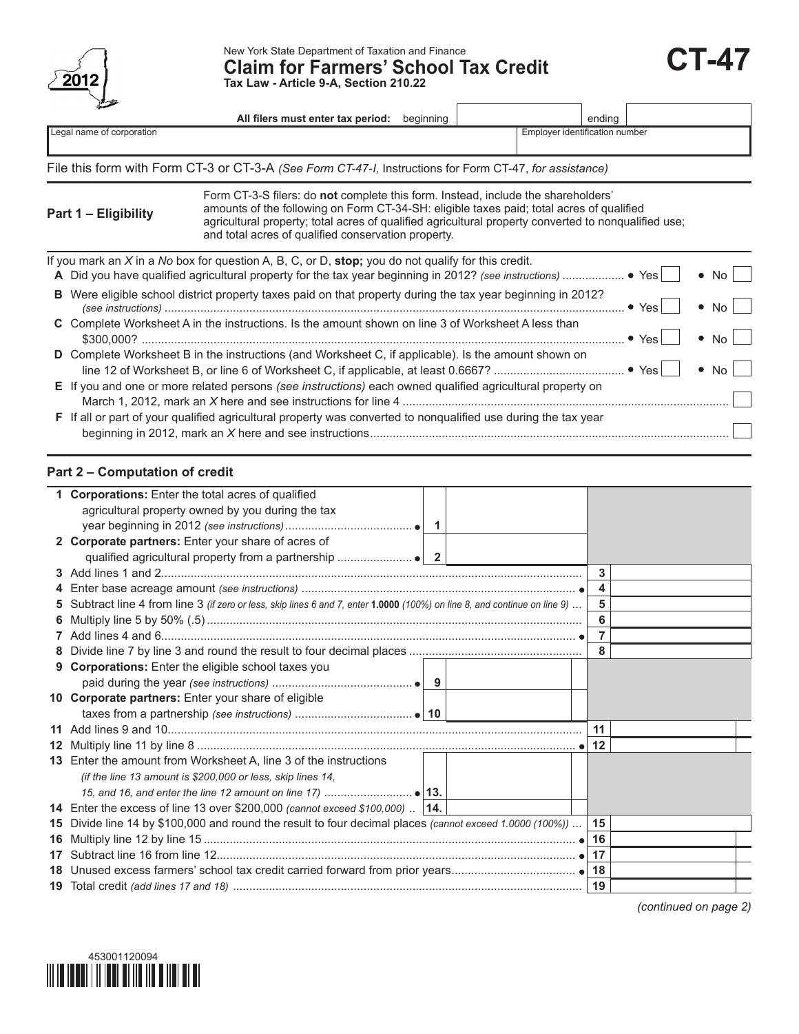

New York State Department of Taxation and Finance<br>Claim for Farmers' School Tax Credit **CT-47 Tax Law - Article 9-A, Section 210.22**

|                           | All filers must enter tax period:<br>beginning                                                                                                                                                                                                                                                                                               |                                | ending        |                  |  |  |
|---------------------------|----------------------------------------------------------------------------------------------------------------------------------------------------------------------------------------------------------------------------------------------------------------------------------------------------------------------------------------------|--------------------------------|---------------|------------------|--|--|
| Legal name of corporation |                                                                                                                                                                                                                                                                                                                                              | Employer identification number |               |                  |  |  |
|                           |                                                                                                                                                                                                                                                                                                                                              |                                |               |                  |  |  |
|                           | File this form with Form CT-3 or CT-3-A (See Form CT-47-I, Instructions for Form CT-47, for assistance)                                                                                                                                                                                                                                      |                                |               |                  |  |  |
| Part 1 - Eligibility      | Form CT-3-S filers: do not complete this form. Instead, include the shareholders'<br>amounts of the following on Form CT-34-SH: eligible taxes paid; total acres of qualified<br>agricultural property; total acres of qualified agricultural property converted to nonqualified use;<br>and total acres of qualified conservation property. |                                |               |                  |  |  |
|                           | If you mark an $X$ in a No box for question A, B, C, or D, stop; you do not qualify for this credit.                                                                                                                                                                                                                                         |                                | $\bullet$ Yes | No.<br>$\bullet$ |  |  |
|                           | <b>B</b> Were eligible school district property taxes paid on that property during the tax year beginning in 2012?                                                                                                                                                                                                                           |                                | • Yes'        | No l             |  |  |
|                           | C Complete Worksheet A in the instructions. Is the amount shown on line 3 of Worksheet A less than                                                                                                                                                                                                                                           |                                | • Yes         | No.              |  |  |
|                           | D Complete Worksheet B in the instructions (and Worksheet C, if applicable). Is the amount shown on                                                                                                                                                                                                                                          |                                |               |                  |  |  |

| E If you and one or more related persons (see instructions) each owned qualified agricultural property on |  |  |  |  |  |  |  |
|-----------------------------------------------------------------------------------------------------------|--|--|--|--|--|--|--|
|                                                                                                           |  |  |  |  |  |  |  |
| _                                                                                                         |  |  |  |  |  |  |  |

| F If all or part of your qualified agricultural property was converted to nonqualified use during the tax year |  |  |  |  |  |
|----------------------------------------------------------------------------------------------------------------|--|--|--|--|--|
|                                                                                                                |  |  |  |  |  |

## **Part 2 – Computation of credit**

| 1 Corporations: Enter the total acres of qualified                                                                         |  |    |
|----------------------------------------------------------------------------------------------------------------------------|--|----|
| agricultural property owned by you during the tax                                                                          |  |    |
|                                                                                                                            |  |    |
| 2 Corporate partners: Enter your share of acres of                                                                         |  |    |
|                                                                                                                            |  |    |
|                                                                                                                            |  | 3  |
|                                                                                                                            |  | 4  |
| 5 Subtract line 4 from line 3 (if zero or less, skip lines 6 and 7, enter 1.0000 (100%) on line 8, and continue on line 9) |  | 5  |
|                                                                                                                            |  | 6  |
|                                                                                                                            |  | 7  |
|                                                                                                                            |  | 8  |
| 9 Corporations: Enter the eligible school taxes you                                                                        |  |    |
|                                                                                                                            |  |    |
| 10 Corporate partners: Enter your share of eligible                                                                        |  |    |
|                                                                                                                            |  |    |
|                                                                                                                            |  | 11 |
|                                                                                                                            |  | 12 |
| 13 Enter the amount from Worksheet A, line 3 of the instructions                                                           |  |    |
| (if the line 13 amount is \$200,000 or less, skip lines 14,                                                                |  |    |
|                                                                                                                            |  |    |
| 14 Enter the excess of line 13 over \$200,000 (cannot exceed \$100,000)  14.                                               |  |    |
| 15 Divide line 14 by \$100,000 and round the result to four decimal places (cannot exceed 1.0000 (100%))                   |  | 15 |
|                                                                                                                            |  | 16 |
|                                                                                                                            |  |    |
|                                                                                                                            |  |    |
|                                                                                                                            |  |    |

*(continued on page 2)*